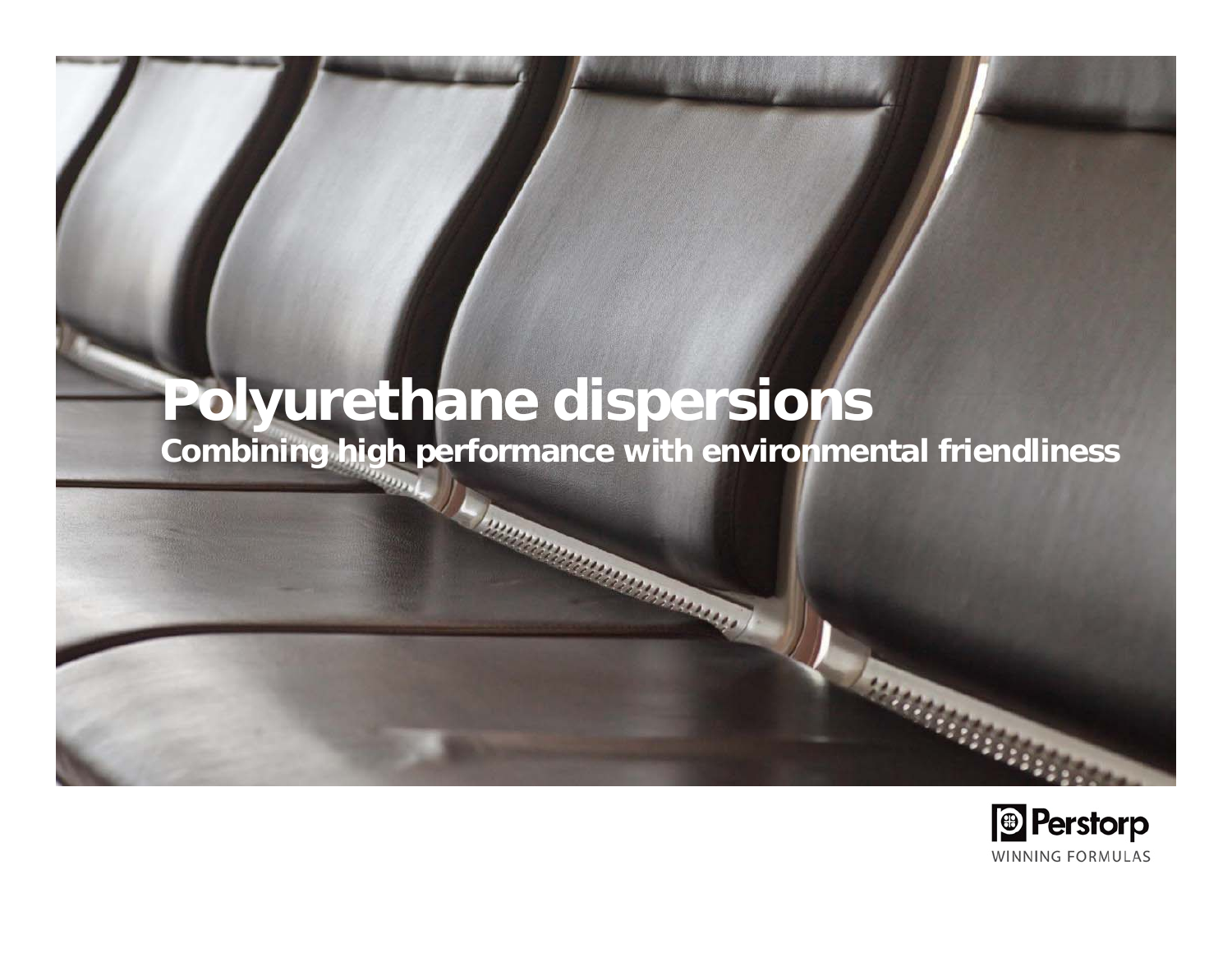# **Polyurethane dispersions**

**Combining high performance with environmental friendliness**

**ENDERGRADE DE LA CARACTERIA DE LA CARACTERIA DE LA CARACTERIA DE LA CARACTERIA DE LA CARACTERIA DE LA CARACTERIA DE LA CARACTERIA DE LA CARACTERIA DE LA CARACTERIA DE LA CARACTERIA DE LA CARACTERIA DE LA CARACTERIA DE LA** 

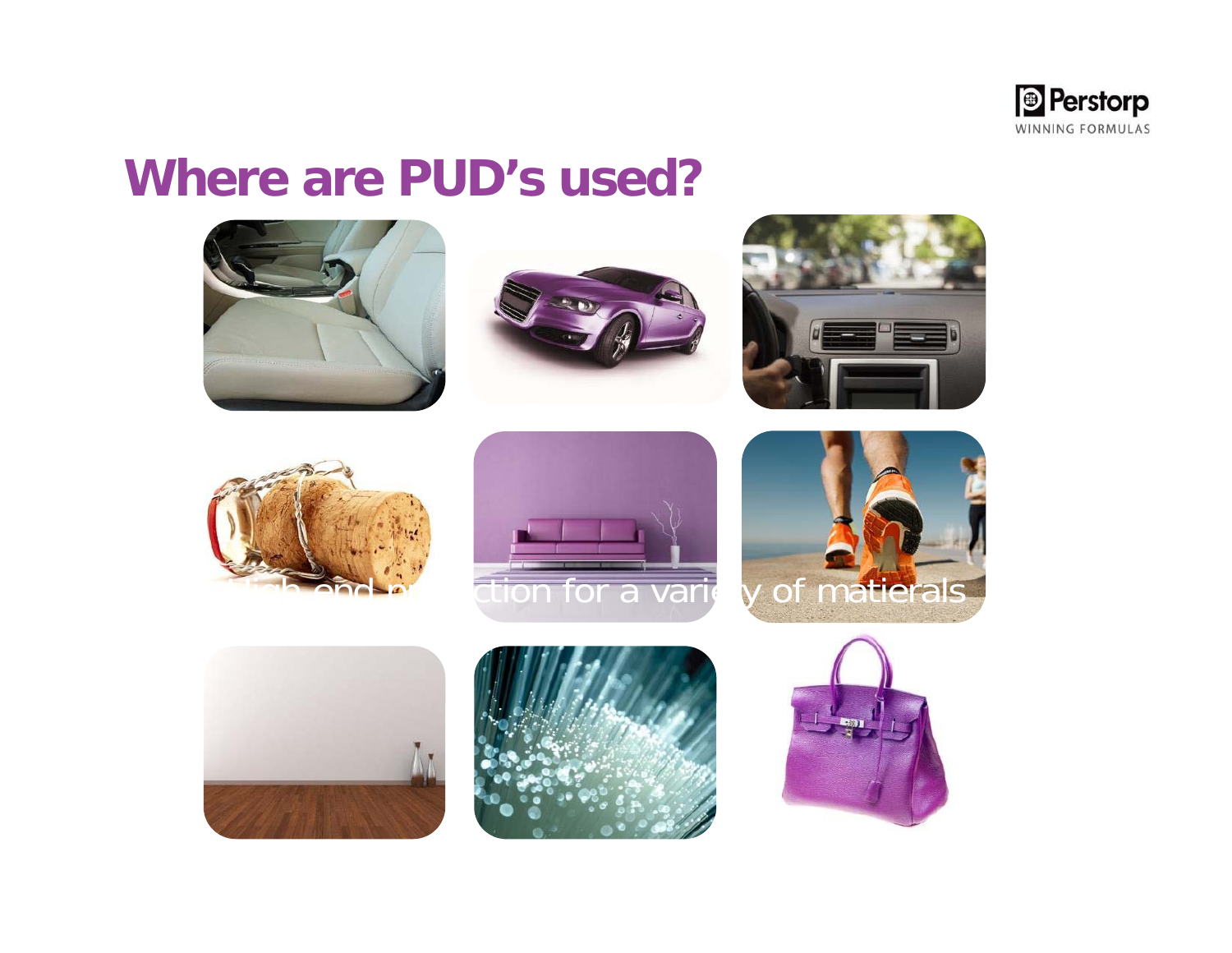

### **Where are PUD's used?**

















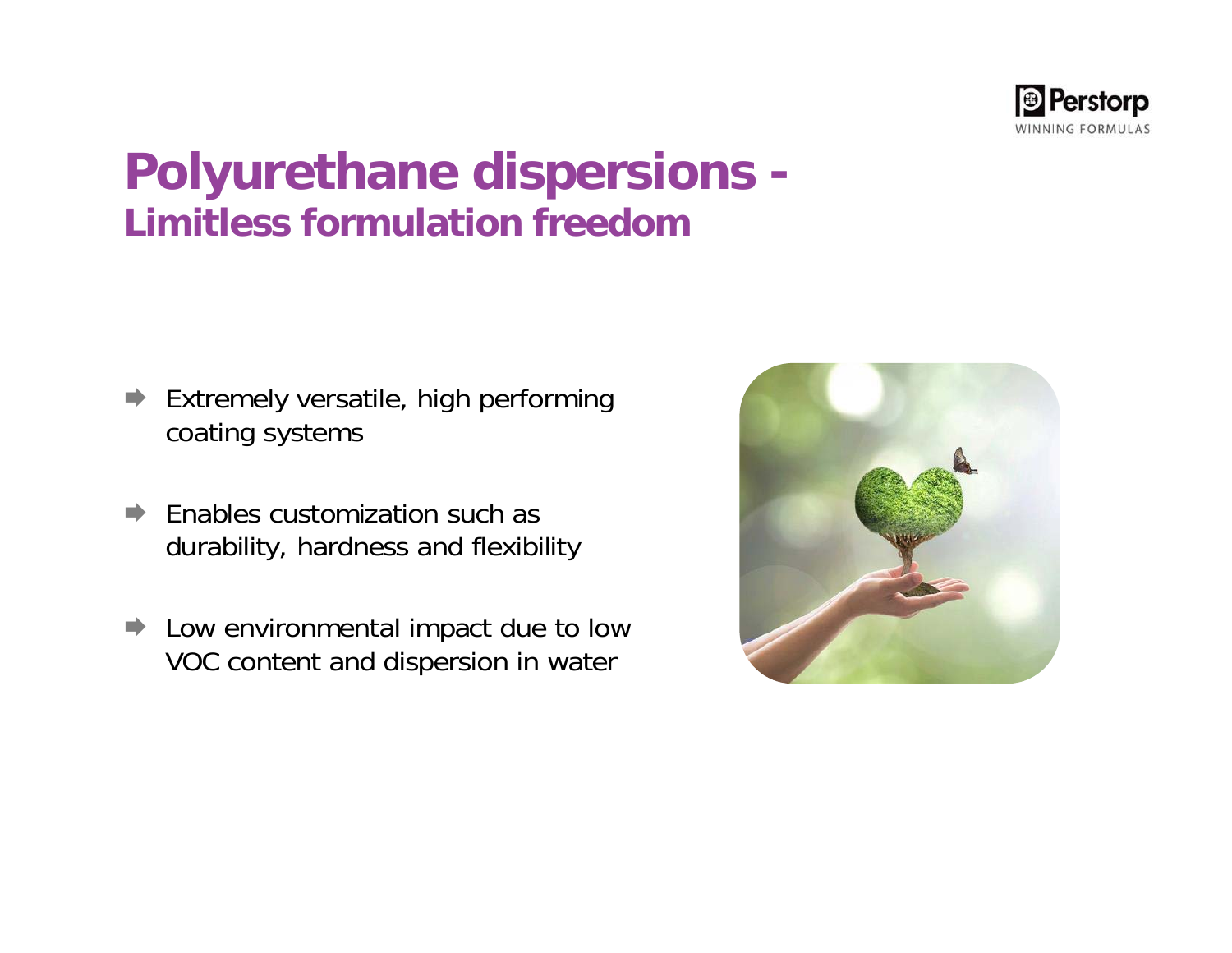

### **Polyurethane dispersions - Limitless formulation freedom**

- $\Rightarrow$  Extremely versatile, high performing coating systems
- $\Rightarrow$  Enables customization such as durability, hardness and flexibility
- **►** Low environmental impact due to low VOC content and dispersion in water

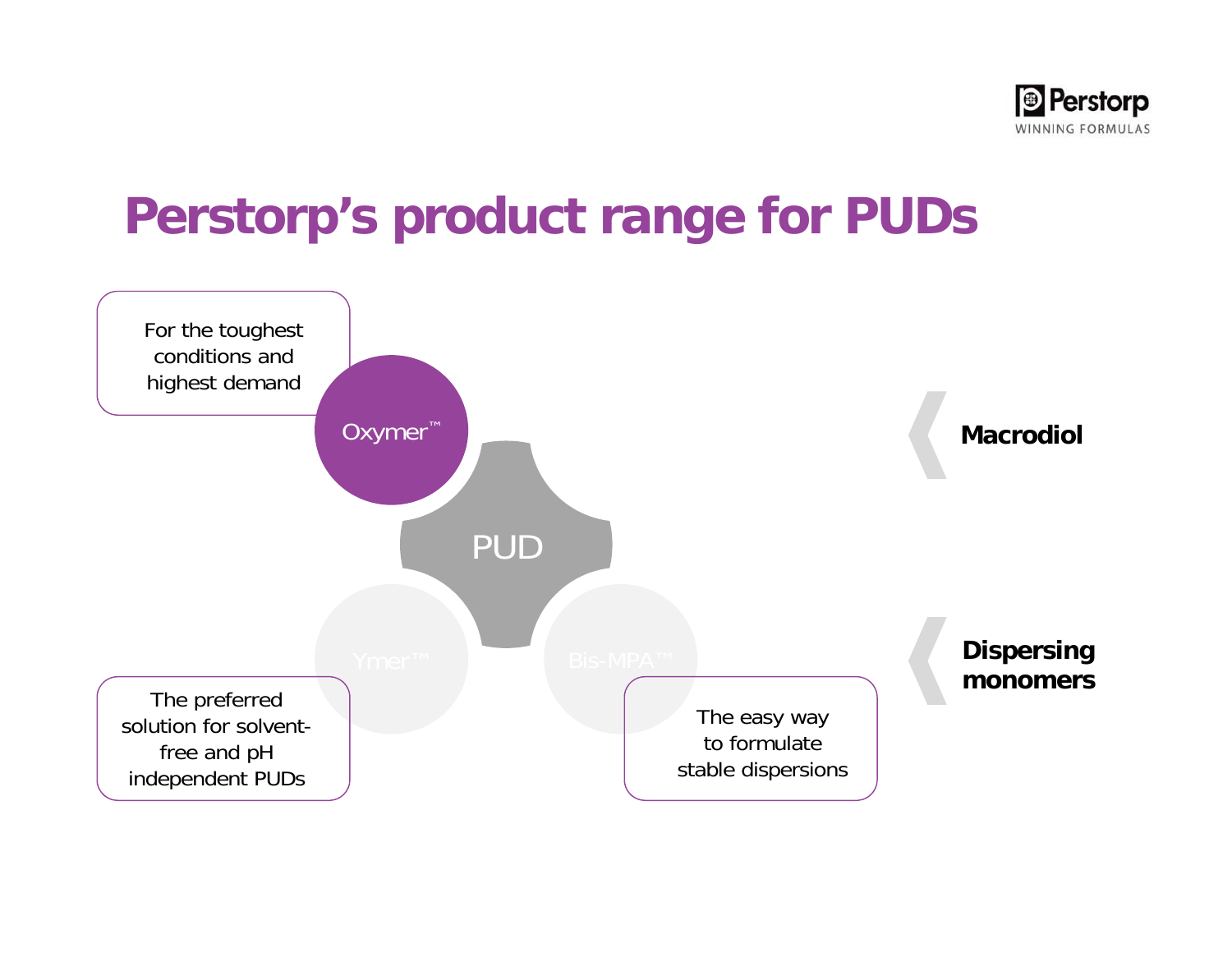

## **Perstorp's product range for PUDs**

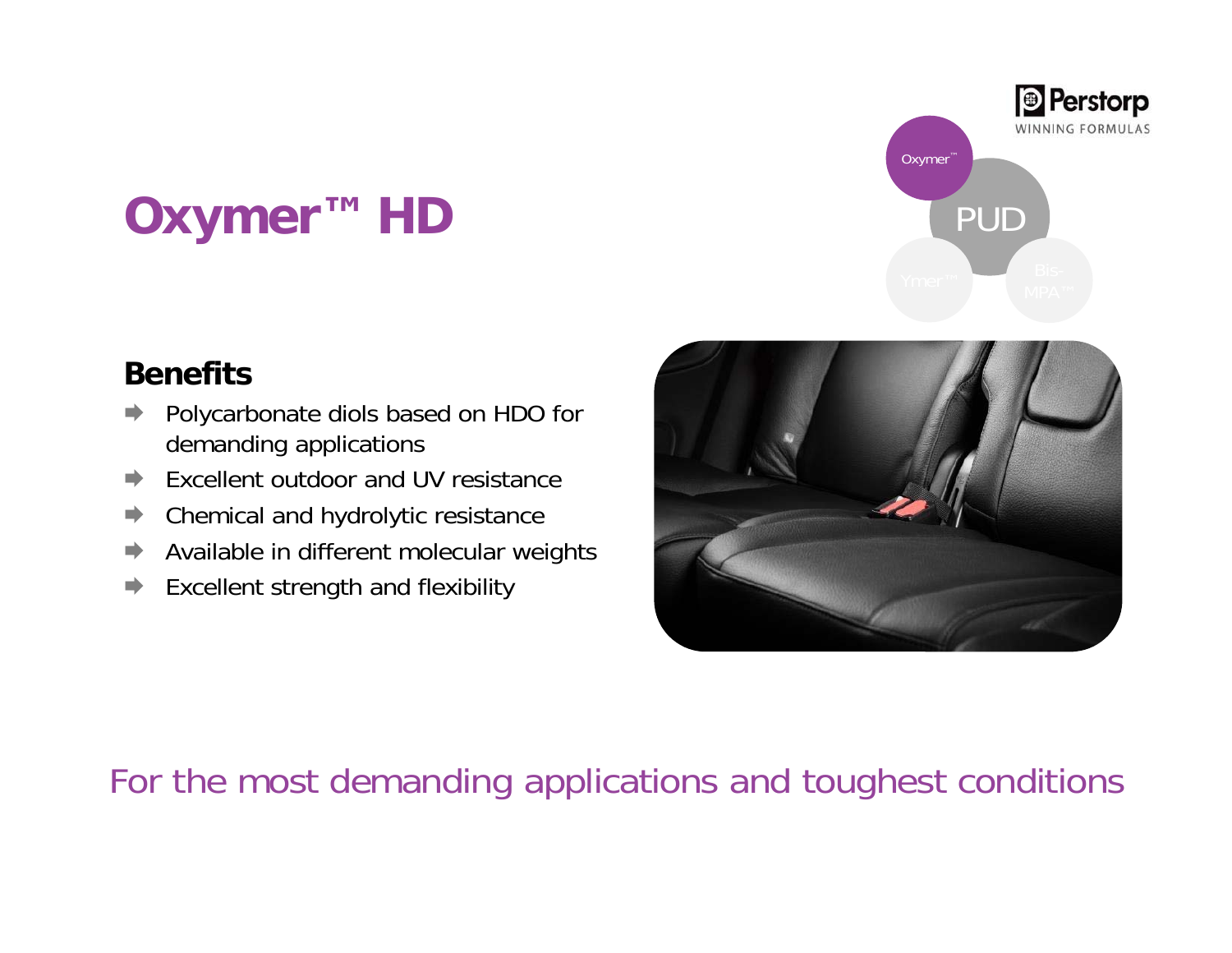# **Oxymer™ HD**

#### **Benefits**

- $\Rightarrow$  Polycarbonate diols based on HDO for demanding applications
- $\Rightarrow$ Excellent outdoor and UV resistance
- $\Rightarrow$ Chemical and hydrolytic resistance
- E) Available in different molecular weights
- D Excellent strength and flexibility





### For the most demanding applications and toughest conditions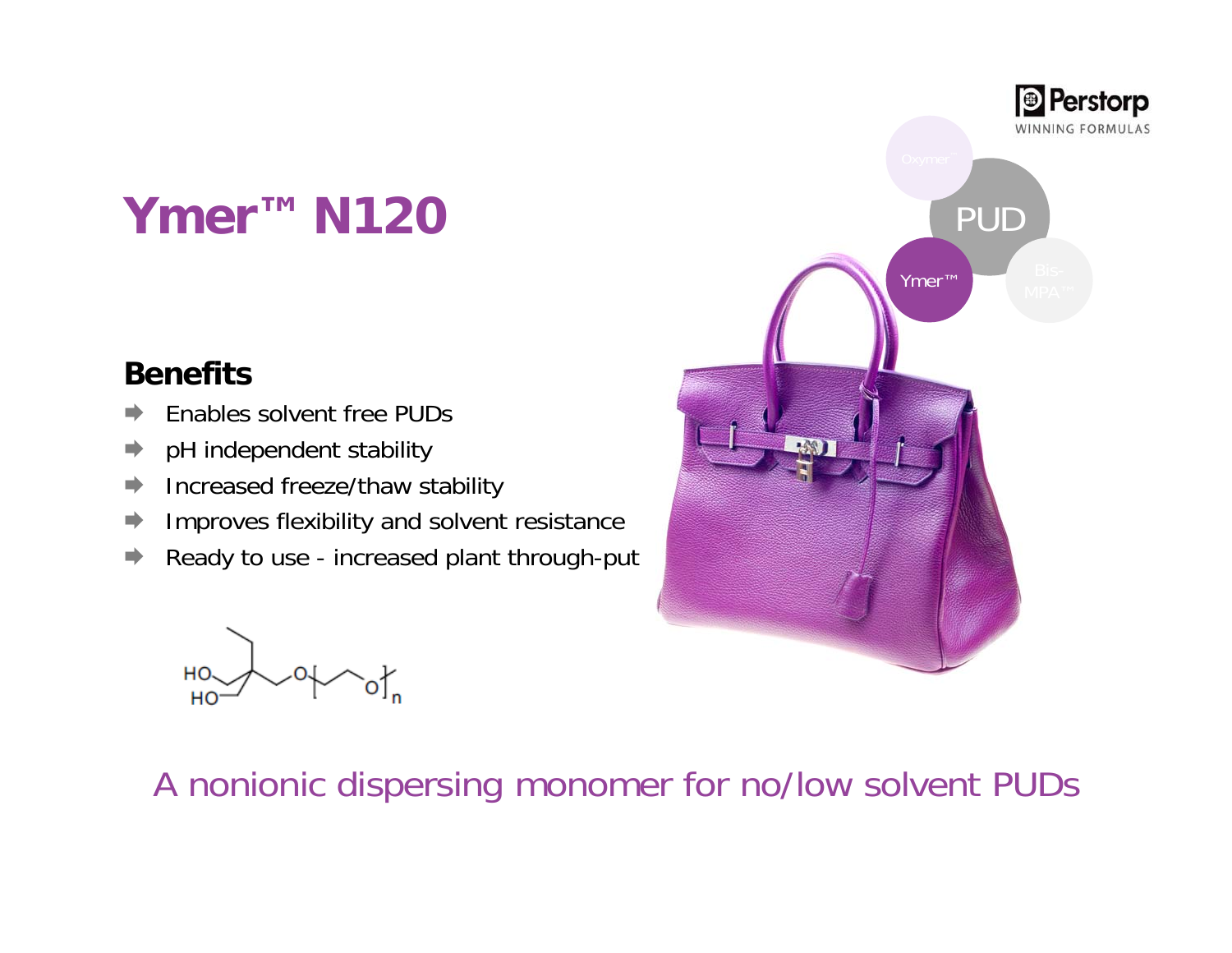## **Ymer™ N120**

#### **Benefits**

- E) Enables solvent free PUDs
- $\Rightarrow$ pH independent stability
- $\Rightarrow$ Increased freeze/thaw stability
- E. Improves flexibility and solvent resistance
- $\Rightarrow$ Ready to use - increased plant through-put

HO. HO



### A nonionic dispersing monomer for no/low solvent PUDs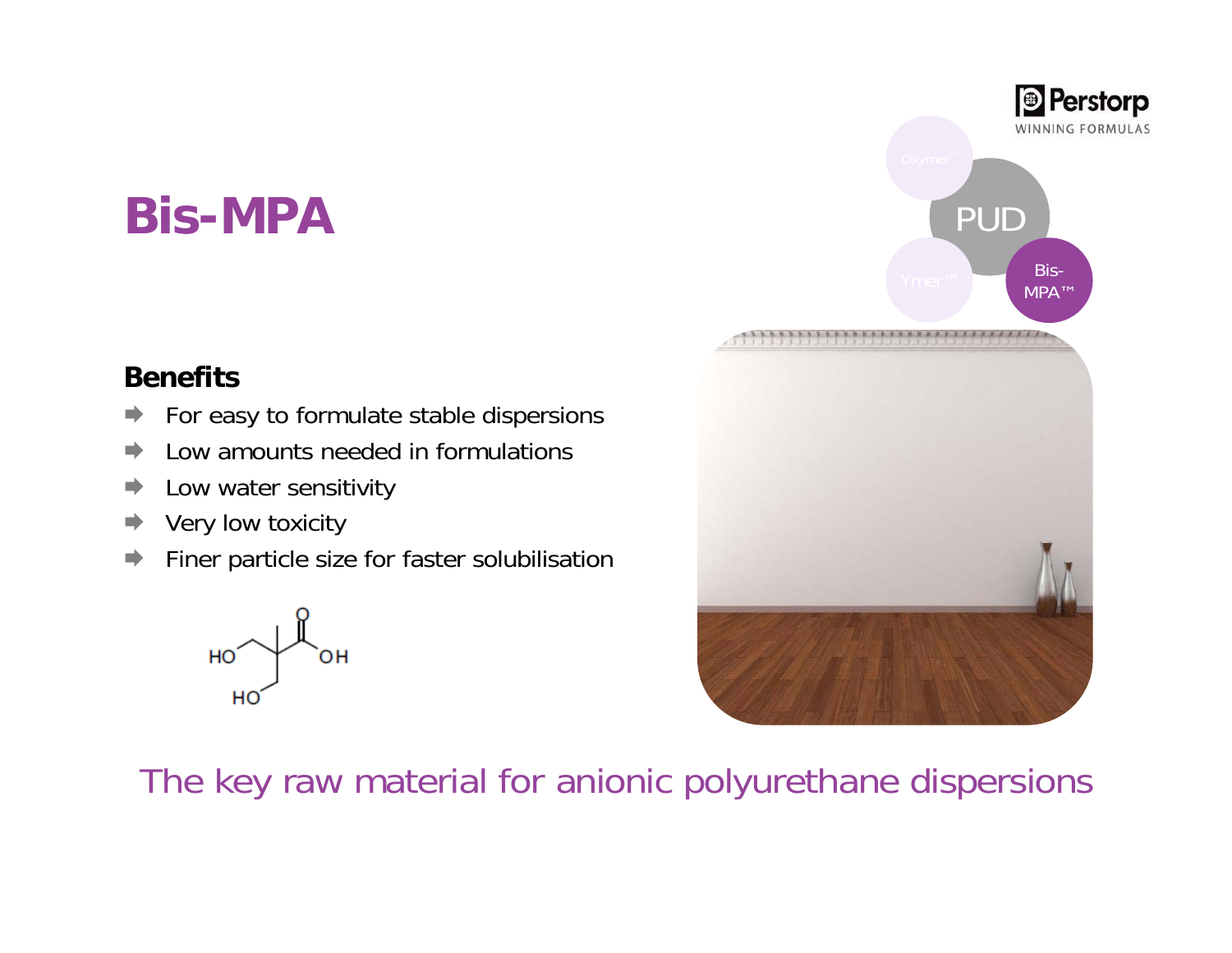## **Bis-MPA**

#### **Benefits**

- E. For easy to formulate stable dispersions
- × Low amounts needed in formulations
- н Low water sensitivity
- ➡ Very low toxicity
- m. Finer particle size for faster solubilisation





The key raw material for anionic polyurethane dispersions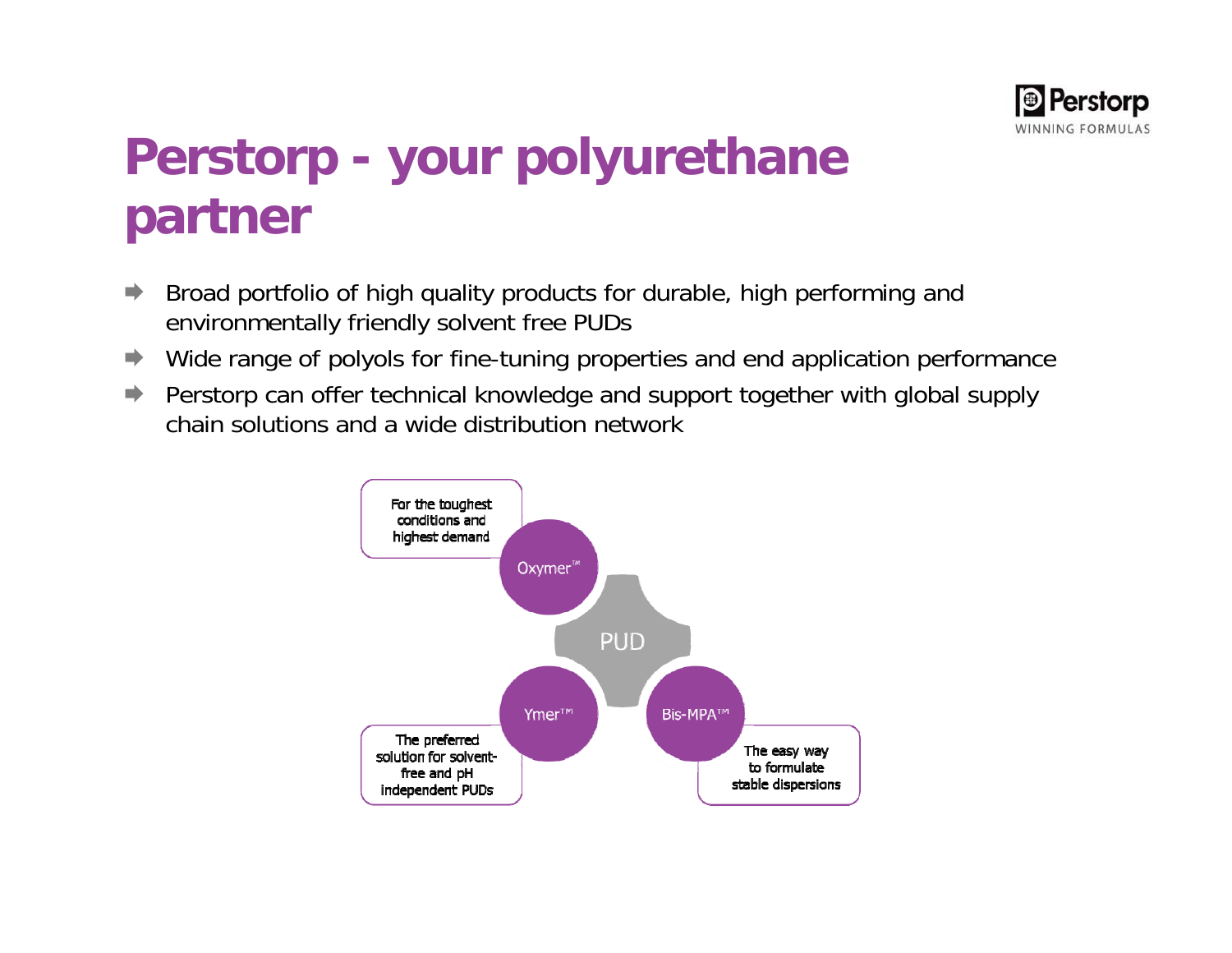

# **Perstorp - your polyurethane partner**

- $\Rightarrow$  Broad portfolio of high quality products for durable, high performing and environmentally friendly solvent free PUDs
- $\blacksquare$ Wide range of polyols for fine-tuning properties and end application performance
- $\Rightarrow$  Perstorp can offer technical knowledge and support together with global supply chain solutions and a wide distribution network

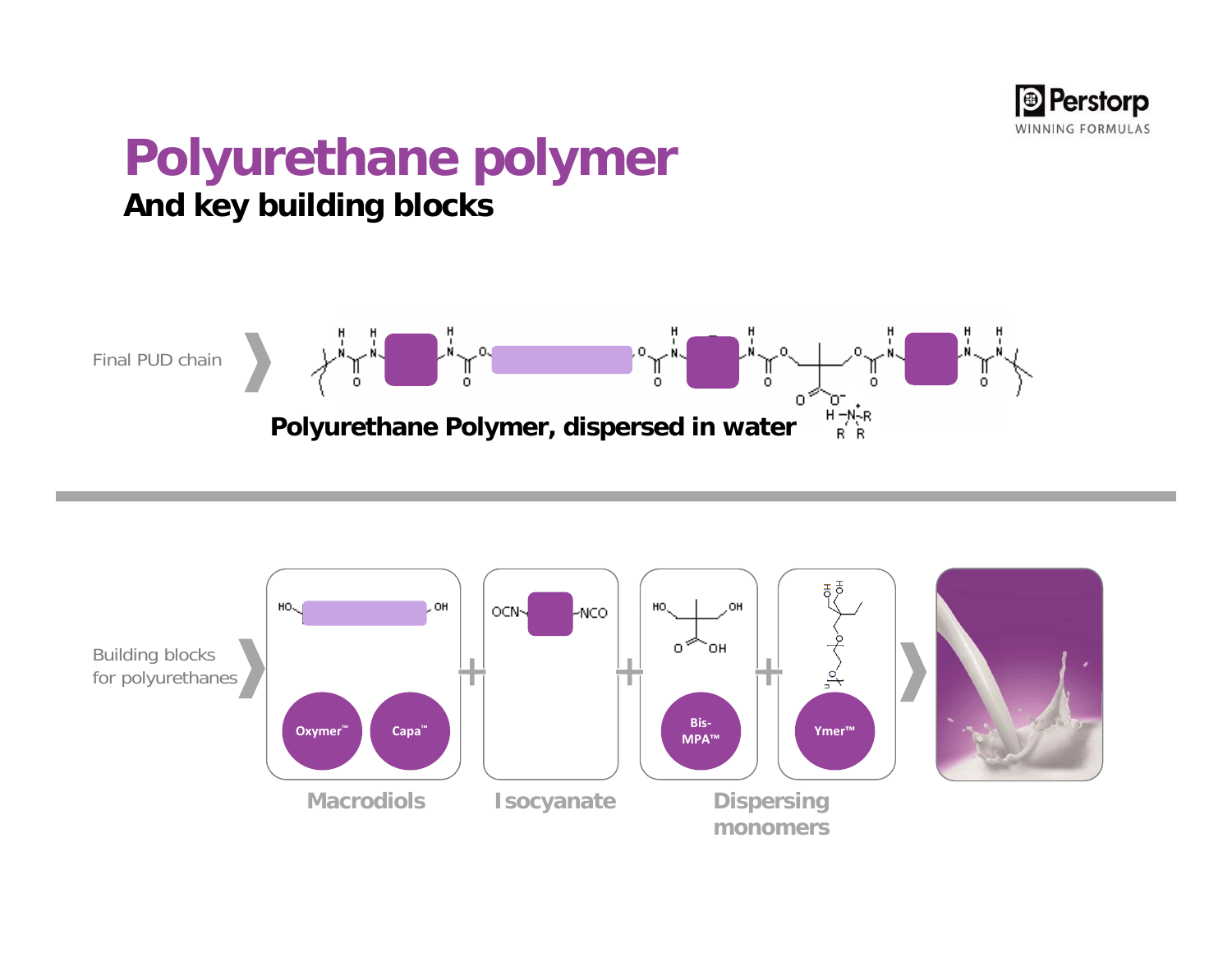

### **Polyurethane polymer And key building blocks**